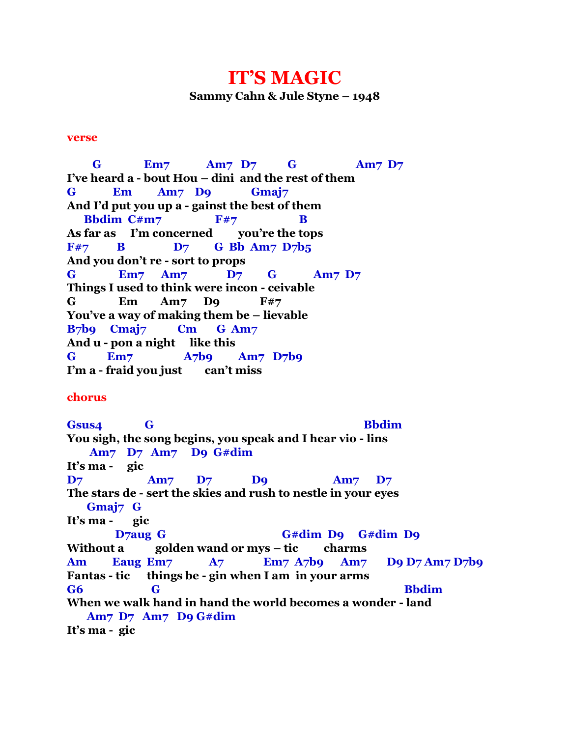## **IT'S MAGIC**

**Sammy Cahn & Jule Styne – 1948**

## **verse**

 **G Em7 Am7 D7 G Am7 D7 I've heard a - bout Hou – dini and the rest of them G Em Am7 D9 Gmaj7 And I'd put you up a - gainst the best of them Bbdim C#m7** F#7 B **As far as I'm concerned you're the tops** F#7 **B** D7 **G Bb Am7 D7b5 And you don't re - sort to props G Em7 Am7 D7 G Am7 D7 Things I used to think were incon - ceivable G Em Am7 D9 F#7 You've a way of making them be – lievable B7b9 Cmaj7 Cm G Am7 And u - pon a night like this G Em7 A7b9 Am7 D7b9 I'm a - fraid you just can't miss**

## **chorus**

**Gsus4 G Bbdim You sigh, the song begins, you speak and I hear vio - lins Am7 D7 Am7 D9 G#dim It's ma - gic D7 Am7 D7 D9 Am7 D7 The stars de - sert the skies and rush to nestle in your eyes Gmaj7 G It's ma - gic D7aug G G#dim D9 G#dim D9 Without a golden wand or mys – tic charms Am Eaug Em7 A7 Em7 A7b9 Am7 D9 D7 Am7 D7b9 Fantas - tic things be - gin when I am in your arms G6 G Bbdim When we walk hand in hand the world becomes a wonder - land Am7 D7 Am7 D9 G#dim It's ma - gic**